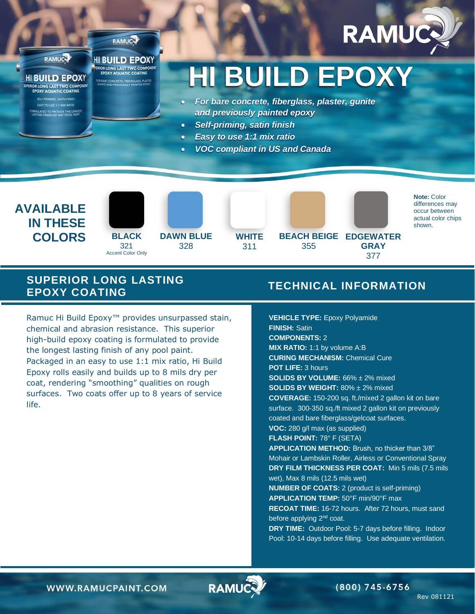



ERIOR LONG LAST TWO COMPONERIOR LONG LAST TWO COMPON **HI BUILD EPOXY** R BARE CONCRETE, FIBERGLASS, PLAS

# **HI BUILD EPOXY**

- *For bare concrete, fiberglass, plaster, gunite and previously painted epoxy*
- *Self-priming, satin finish*
- *Easy to use 1:1 mix ratio*
- *VOC compliant in US and Canada*

**COLORS** BLACK DAWNELUE WHITE BEACH BEIGE EDGEWATER **AVAILABLE IN THESE** 

**RAMUC** 

**SUPERIOR LONG LAST TWO COMPONENT EPOXY AQUATIC COATING SELF-PRIMING, SATIN FINISH EASY TO USE 1:1 MIX RATIO** MULATED TO PROVIDE THE LONGES<br>ASTING FINISH OF ANY POOL PAINT





**DAWN BLUE** 328



311



355

**Note:** Color differences may occur between actual color chips shown.

### **SUPERIOR LONG LASTING EPOXY COATING**

Ramuc Hi Build Epoxy™ provides unsurpassed stain, chemical and abrasion resistance. This superior high-build epoxy coating is formulated to provide the longest lasting finish of any pool paint. Packaged in an easy to use 1:1 mix ratio, Hi Build Epoxy rolls easily and builds up to 8 mils dry per coat, rendering "smoothing" qualities on rough surfaces. Two coats offer up to 8 years of service life.

## **TECHNICAL INFORMATION**

**GRAY** 377

**VEHICLE TYPE:** Epoxy Polyamide **FINISH:** Satin **COMPONENTS:** 2 **MIX RATIO:** 1:1 by volume A:B **CURING MECHANISM:** Chemical Cure **POT LIFE:** 3 hours **SOLIDS BY VOLUME:** 66% ± 2% mixed **SOLIDS BY WEIGHT:** 80% ± 2% mixed **COVERAGE:** 150-200 sq. ft./mixed 2 gallon kit on bare surface. 300-350 sq./ft mixed 2 gallon kit on previously coated and bare fiberglass/gelcoat surfaces. **VOC:** 280 g/l max (as supplied) **FLASH POINT:** 78° F (SETA) **APPLICATION METHOD:** Brush, no thicker than 3/8" Mohair or Lambskin Roller, Airless or Conventional Spray **DRY FILM THICKNESS PER COAT:** Min 5 mils (7.5 mils wet), Max 8 mils (12.5 mils wet) **NUMBER OF COATS:** 2 (product is self-priming) **APPLICATION TEMP:** 50°F min/90°F max **RECOAT TIME:** 16-72 hours. After 72 hours, must sand before applying 2<sup>nd</sup> coat. **DRY TIME:** Outdoor Pool: 5-7 days before filling. Indoor Pool: 10-14 days before filling. Use adequate ventilation.

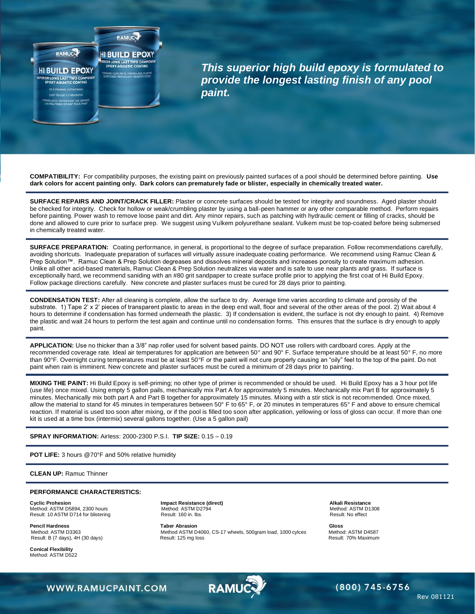

*This superior high build epoxy is formulated to provide the longest lasting finish of any pool paint.*

**COMPATIBILITY:** For compatibility purposes, the existing paint on previously painted surfaces of a pool should be determined before painting. **Use dark colors for accent painting only. Dark colors can prematurely fade or blister, especially in chemically treated water.**

**SURFACE REPAIRS AND JOINT/CRACK FILLER:** Plaster or concrete surfaces should be tested for integrity and soundness. Aged plaster should be checked for integrity. Check for hollow or weak/crumbling plaster by using a ball-peen hammer or any other comparable method. Perform repairs before painting. Power wash to remove loose paint and dirt. Any minor repairs, such as patching with hydraulic cement or filling of cracks, should be done and allowed to cure prior to surface prep. We suggest using Vulkem polyurethane sealant. Vulkem must be top-coated before being submersed in chemically treated water.

**SURFACE PREPARATION:** Coating performance, in general, is proportional to the degree of surface preparation. Follow recommendations carefully, avoiding shortcuts. Inadequate preparation of surfaces will virtually assure inadequate coating performance. We recommend using Ramuc Clean & Prep Solution™. Ramuc Clean & Prep Solution degreases and dissolves mineral deposits and increases porosity to create maximum adhesion. Unlike all other acid-based materials, Ramuc Clean & Prep Solution neutralizes via water and is safe to use near plants and grass. If surface is exceptionally hard, we recommend saniding with an #80 grit sandpaper to create surface profile prior to applying the first coat of Hi Build Epoxy. Follow package directions carefully. New concrete and plaster surfaces must be cured for 28 days prior to painting.

**CONDENSATION TEST:** After all cleaning is complete, allow the surface to dry. Average time varies according to climate and porosity of the substrate. 1) Tape 2' x 2' pieces of transparent plastic to areas in the deep end wall, floor and several of the other areas of the pool. 2) Wait about 4 hours to determine if condensation has formed underneath the plastic. 3) If condensation is evident, the surface is not dry enough to paint. 4) Remove the plastic and wait 24 hours to perform the test again and continue until no condensation forms. This ensures that the surface is dry enough to apply paint.

**APPLICATION:** Use no thicker than a 3/8" nap roller used for solvent based paints. DO NOT use rollers with cardboard cores. Apply at the recommended coverage rate. Ideal air temperatures for application are between 50° and 90° F. Surface temperature should be at least 50° F, no more than 90°F. Overnight curing temperatures must be at least 50°F or the paint will not cure properly causing an "oily" feel to the top of the paint. Do not paint when rain is imminent. New concrete and plaster surfaces must be cured a minimum of 28 days prior to painting.

**MIXING THE PAINT:** Hi Build Epoxy is self-priming; no other type of primer is recommended or should be used. Hi Build Epoxy has a 3 hour pot life (use life) once mixed. Using empty 5 gallon pails, mechanically mix Part A for approximately 5 minutes. Mechanically mix Part B for approximately 5 minutes. Mechanically mix both part A and Part B together for approximately 15 minutes. Mixing with a stir stick is not recommended. Once mixed, allow the material to stand for 45 minutes in temperatures between 50° F to 65° F, or 20 minutes in temperatures 65° F and above to ensure chemical reaction. If material is used too soon after mixing, or if the pool is filled too soon after application, yellowing or loss of gloss can occur. If more than one kit is used at a time box (intermix) several gallons together. (Use a 5 gallon pail)

#### **SPRAY INFORMATION:** Airless: 2000-2300 P.S.I. **TIP SIZE:** 0.15 – 0.19

**POT LIFE:** 3 hours @70°F and 50% relative humidity

**CLEAN UP:** Ramuc Thinner

#### **PERFORMANCE CHARACTERISTICS:**

Cyclic Prohesion **Cyclic Probesion Cyclic Probesistance (direct)** Cyclic Probesion Alkali Resistance Method: ASTM D5894, 2300 hours Method: ASTM D2794 Method: ASTM D1308 Result: 10 ASTM D714 for blistering Result: 160 in lbs. Result: No effect Result: No effect

Result: B (7 days), 4H (30 days)

**Conical Flexibility**  Method: ASTM D522

Pencil Hardness **Gloss**<br>Method: ASTM D3363 **Taber Abrasion** GS-17 wheels, 500gram load, 1000 cylces Method: ASTM D4587 Method: ASTM D4060, CS-17 wheels, 500gram load, 1000 cylces Method: ASTM D4587<br>Result: 125 mg loss Meximum

WWW.RAMUCPAINT.COM





Rev 081121